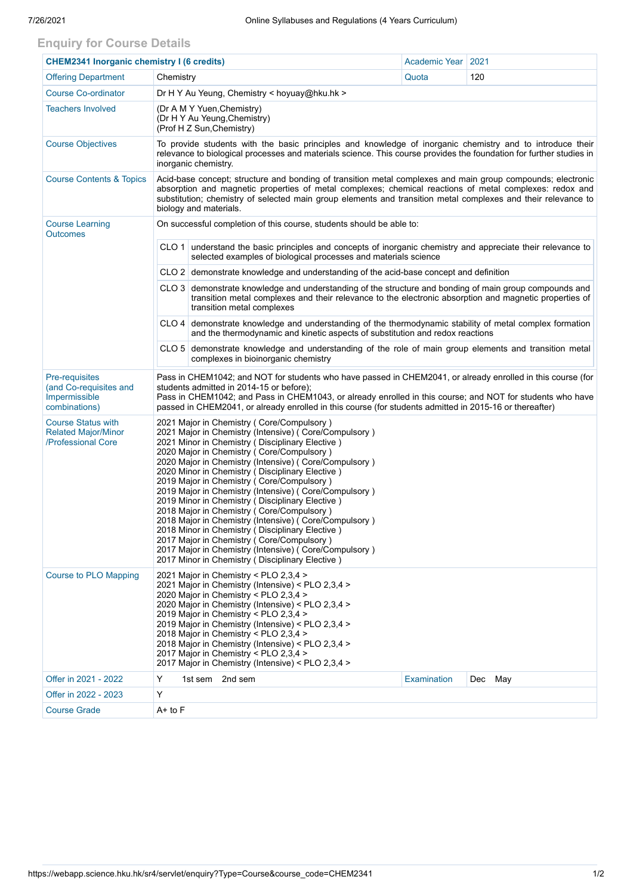## **Enquiry for Course Details**

| <b>CHEM2341 Inorganic chemistry I (6 credits)</b>                             |                                                                                                                                                                                                                                                                                                                                                                                                                                                                                                                                                                                                                                                                                                                                                                                             |                                                                                                                                                | Academic Year | 2021    |  |  |  |  |  |
|-------------------------------------------------------------------------------|---------------------------------------------------------------------------------------------------------------------------------------------------------------------------------------------------------------------------------------------------------------------------------------------------------------------------------------------------------------------------------------------------------------------------------------------------------------------------------------------------------------------------------------------------------------------------------------------------------------------------------------------------------------------------------------------------------------------------------------------------------------------------------------------|------------------------------------------------------------------------------------------------------------------------------------------------|---------------|---------|--|--|--|--|--|
| <b>Offering Department</b>                                                    | Chemistry                                                                                                                                                                                                                                                                                                                                                                                                                                                                                                                                                                                                                                                                                                                                                                                   |                                                                                                                                                | Quota         | 120     |  |  |  |  |  |
| <b>Course Co-ordinator</b>                                                    |                                                                                                                                                                                                                                                                                                                                                                                                                                                                                                                                                                                                                                                                                                                                                                                             | Dr H Y Au Yeung, Chemistry < hoyuay@hku.hk >                                                                                                   |               |         |  |  |  |  |  |
| <b>Teachers Involved</b>                                                      | (Dr A M Y Yuen, Chemistry)<br>(Dr H Y Au Yeung, Chemistry)<br>(Prof H Z Sun, Chemistry)                                                                                                                                                                                                                                                                                                                                                                                                                                                                                                                                                                                                                                                                                                     |                                                                                                                                                |               |         |  |  |  |  |  |
| <b>Course Objectives</b>                                                      | To provide students with the basic principles and knowledge of inorganic chemistry and to introduce their<br>relevance to biological processes and materials science. This course provides the foundation for further studies in<br>inorganic chemistry.                                                                                                                                                                                                                                                                                                                                                                                                                                                                                                                                    |                                                                                                                                                |               |         |  |  |  |  |  |
| <b>Course Contents &amp; Topics</b>                                           | Acid-base concept; structure and bonding of transition metal complexes and main group compounds; electronic<br>absorption and magnetic properties of metal complexes; chemical reactions of metal complexes: redox and<br>substitution; chemistry of selected main group elements and transition metal complexes and their relevance to<br>biology and materials.                                                                                                                                                                                                                                                                                                                                                                                                                           |                                                                                                                                                |               |         |  |  |  |  |  |
| <b>Course Learning</b><br><b>Outcomes</b>                                     | On successful completion of this course, students should be able to:                                                                                                                                                                                                                                                                                                                                                                                                                                                                                                                                                                                                                                                                                                                        |                                                                                                                                                |               |         |  |  |  |  |  |
|                                                                               | CLO 1 understand the basic principles and concepts of inorganic chemistry and appreciate their relevance to<br>selected examples of biological processes and materials science                                                                                                                                                                                                                                                                                                                                                                                                                                                                                                                                                                                                              |                                                                                                                                                |               |         |  |  |  |  |  |
|                                                                               | CLO 2 demonstrate knowledge and understanding of the acid-base concept and definition                                                                                                                                                                                                                                                                                                                                                                                                                                                                                                                                                                                                                                                                                                       |                                                                                                                                                |               |         |  |  |  |  |  |
|                                                                               | CLO 3   demonstrate knowledge and understanding of the structure and bonding of main group compounds and<br>transition metal complexes and their relevance to the electronic absorption and magnetic properties of<br>transition metal complexes                                                                                                                                                                                                                                                                                                                                                                                                                                                                                                                                            |                                                                                                                                                |               |         |  |  |  |  |  |
|                                                                               | CLO 4 demonstrate knowledge and understanding of the thermodynamic stability of metal complex formation<br>and the thermodynamic and kinetic aspects of substitution and redox reactions                                                                                                                                                                                                                                                                                                                                                                                                                                                                                                                                                                                                    |                                                                                                                                                |               |         |  |  |  |  |  |
|                                                                               |                                                                                                                                                                                                                                                                                                                                                                                                                                                                                                                                                                                                                                                                                                                                                                                             | $CLO 5$ demonstrate knowledge and understanding of the role of main group elements and transition metal<br>complexes in bioinorganic chemistry |               |         |  |  |  |  |  |
| Pre-requisites<br>(and Co-requisites and<br>Impermissible<br>combinations)    | Pass in CHEM1042; and NOT for students who have passed in CHEM2041, or already enrolled in this course (for<br>students admitted in 2014-15 or before);<br>Pass in CHEM1042; and Pass in CHEM1043, or already enrolled in this course; and NOT for students who have<br>passed in CHEM2041, or already enrolled in this course (for students admitted in 2015-16 or thereafter)                                                                                                                                                                                                                                                                                                                                                                                                             |                                                                                                                                                |               |         |  |  |  |  |  |
| <b>Course Status with</b><br><b>Related Major/Minor</b><br>/Professional Core | 2021 Major in Chemistry (Core/Compulsory)<br>2021 Major in Chemistry (Intensive) (Core/Compulsory)<br>2021 Minor in Chemistry (Disciplinary Elective)<br>2020 Major in Chemistry (Core/Compulsory)<br>2020 Major in Chemistry (Intensive) (Core/Compulsory)<br>2020 Minor in Chemistry (Disciplinary Elective)<br>2019 Major in Chemistry (Core/Compulsory)<br>2019 Major in Chemistry (Intensive) (Core/Compulsory)<br>2019 Minor in Chemistry (Disciplinary Elective)<br>2018 Major in Chemistry (Core/Compulsory)<br>2018 Major in Chemistry (Intensive) ( Core/Compulsory )<br>2018 Minor in Chemistry (Disciplinary Elective)<br>2017 Major in Chemistry (Core/Compulsory)<br>2017 Major in Chemistry (Intensive) (Core/Compulsory)<br>2017 Minor in Chemistry (Disciplinary Elective) |                                                                                                                                                |               |         |  |  |  |  |  |
| <b>Course to PLO Mapping</b>                                                  | 2021 Major in Chemistry < PLO 2,3,4 ><br>2021 Major in Chemistry (Intensive) < PLO 2,3,4 ><br>2020 Major in Chemistry < PLO 2,3,4 ><br>2020 Major in Chemistry (Intensive) < PLO 2,3,4 ><br>2019 Major in Chemistry < PLO 2,3,4 ><br>2019 Major in Chemistry (Intensive) < PLO 2,3,4 ><br>2018 Major in Chemistry < PLO 2,3,4 ><br>2018 Major in Chemistry (Intensive) < PLO 2,3,4 ><br>2017 Major in Chemistry < PLO 2,3,4 ><br>2017 Major in Chemistry (Intensive) < PLO 2,3,4 >                                                                                                                                                                                                                                                                                                          |                                                                                                                                                |               |         |  |  |  |  |  |
| Offer in 2021 - 2022                                                          | Y                                                                                                                                                                                                                                                                                                                                                                                                                                                                                                                                                                                                                                                                                                                                                                                           | 1st sem 2nd sem                                                                                                                                | Examination   | Dec May |  |  |  |  |  |
| Offer in 2022 - 2023                                                          | Υ                                                                                                                                                                                                                                                                                                                                                                                                                                                                                                                                                                                                                                                                                                                                                                                           |                                                                                                                                                |               |         |  |  |  |  |  |
| <b>Course Grade</b>                                                           | A+ to F                                                                                                                                                                                                                                                                                                                                                                                                                                                                                                                                                                                                                                                                                                                                                                                     |                                                                                                                                                |               |         |  |  |  |  |  |